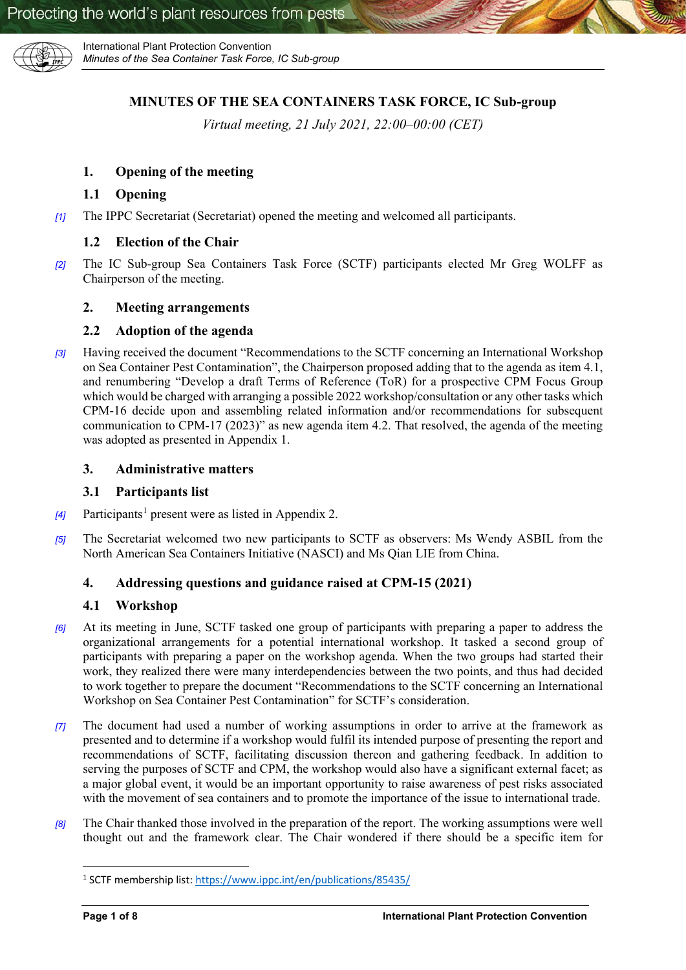

# **MINUTES OF THE SEA CONTAINERS TASK FORCE, IC Sub-group**

*Virtual meeting, 21 July 2021, 22:00–00:00 (CET)*

## **1. Opening of the meeting**

### **1.1 Opening**

*[1]* The IPPC Secretariat (Secretariat) opened the meeting and welcomed all participants.

### **1.2 Election of the Chair**

*[2]* The IC Sub-group Sea Containers Task Force (SCTF) participants elected Mr Greg WOLFF as Chairperson of the meeting.

#### **2. Meeting arrangements**

#### **2.2 Adoption of the agenda**

*[3]* Having received the document "Recommendations to the SCTF concerning an International Workshop on Sea Container Pest Contamination", the Chairperson proposed adding that to the agenda as item 4.1, and renumbering "Develop a draft Terms of Reference (ToR) for a prospective CPM Focus Group which would be charged with arranging a possible 2022 workshop/consultation or any other tasks which CPM-16 decide upon and assembling related information and/or recommendations for subsequent communication to CPM-17 (2023)" as new agenda item 4.2. That resolved, the agenda of the meeting was adopted as presented in Appendix 1.

#### **3. Administrative matters**

#### **3.1 Participants list**

- *[4]* Participants<sup>[1](#page-0-0)</sup> present were as listed in Appendix 2.
- *[5]* The Secretariat welcomed two new participants to SCTF as observers: Ms Wendy ASBIL from the North American Sea Containers Initiative (NASCI) and Ms Qian LIE from China.

### **4. Addressing questions and guidance raised at CPM-15 (2021)**

### **4.1 Workshop**

- *[6]* At its meeting in June, SCTF tasked one group of participants with preparing a paper to address the organizational arrangements for a potential international workshop. It tasked a second group of participants with preparing a paper on the workshop agenda. When the two groups had started their work, they realized there were many interdependencies between the two points, and thus had decided to work together to prepare the document "Recommendations to the SCTF concerning an International Workshop on Sea Container Pest Contamination" for SCTF's consideration.
- *[7]* The document had used a number of working assumptions in order to arrive at the framework as presented and to determine if a workshop would fulfil its intended purpose of presenting the report and recommendations of SCTF, facilitating discussion thereon and gathering feedback. In addition to serving the purposes of SCTF and CPM, the workshop would also have a significant external facet; as a major global event, it would be an important opportunity to raise awareness of pest risks associated with the movement of sea containers and to promote the importance of the issue to international trade.
- <span id="page-0-0"></span>*[8]* The Chair thanked those involved in the preparation of the report. The working assumptions were well thought out and the framework clear. The Chair wondered if there should be a specific item for

 <sup>1</sup> SCTF membership list[: https://www.ippc.int/en/publications/85435/](https://www.ippc.int/en/publications/85435/)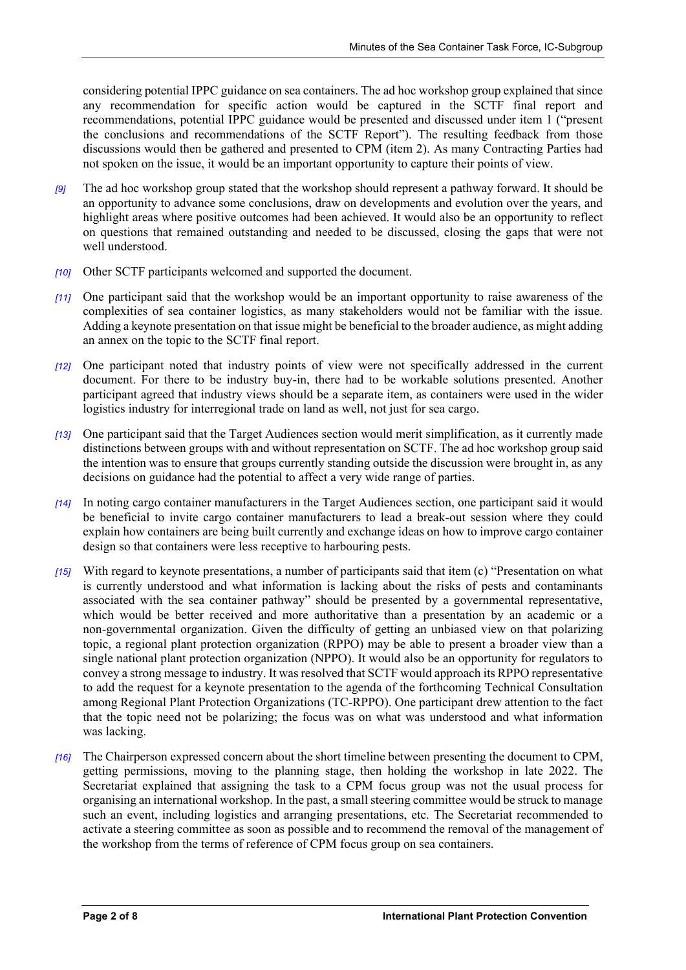considering potential IPPC guidance on sea containers. The ad hoc workshop group explained that since any recommendation for specific action would be captured in the SCTF final report and recommendations, potential IPPC guidance would be presented and discussed under item 1 ("present the conclusions and recommendations of the SCTF Report"). The resulting feedback from those discussions would then be gathered and presented to CPM (item 2). As many Contracting Parties had not spoken on the issue, it would be an important opportunity to capture their points of view.

- *[9]* The ad hoc workshop group stated that the workshop should represent a pathway forward. It should be an opportunity to advance some conclusions, draw on developments and evolution over the years, and highlight areas where positive outcomes had been achieved. It would also be an opportunity to reflect on questions that remained outstanding and needed to be discussed, closing the gaps that were not well understood.
- *[10]* Other SCTF participants welcomed and supported the document.
- *[11]* One participant said that the workshop would be an important opportunity to raise awareness of the complexities of sea container logistics, as many stakeholders would not be familiar with the issue. Adding a keynote presentation on that issue might be beneficial to the broader audience, as might adding an annex on the topic to the SCTF final report.
- *[12]* One participant noted that industry points of view were not specifically addressed in the current document. For there to be industry buy-in, there had to be workable solutions presented. Another participant agreed that industry views should be a separate item, as containers were used in the wider logistics industry for interregional trade on land as well, not just for sea cargo.
- *[13]* One participant said that the Target Audiences section would merit simplification, as it currently made distinctions between groups with and without representation on SCTF. The ad hoc workshop group said the intention was to ensure that groups currently standing outside the discussion were brought in, as any decisions on guidance had the potential to affect a very wide range of parties.
- *[14]* In noting cargo container manufacturers in the Target Audiences section, one participant said it would be beneficial to invite cargo container manufacturers to lead a break-out session where they could explain how containers are being built currently and exchange ideas on how to improve cargo container design so that containers were less receptive to harbouring pests.
- *[15]* With regard to keynote presentations, a number of participants said that item (c) "Presentation on what is currently understood and what information is lacking about the risks of pests and contaminants associated with the sea container pathway" should be presented by a governmental representative, which would be better received and more authoritative than a presentation by an academic or a non-governmental organization. Given the difficulty of getting an unbiased view on that polarizing topic, a regional plant protection organization (RPPO) may be able to present a broader view than a single national plant protection organization (NPPO). It would also be an opportunity for regulators to convey a strong message to industry. It was resolved that SCTF would approach its RPPO representative to add the request for a keynote presentation to the agenda of the forthcoming Technical Consultation among Regional Plant Protection Organizations (TC-RPPO). One participant drew attention to the fact that the topic need not be polarizing; the focus was on what was understood and what information was lacking.
- *[16]* The Chairperson expressed concern about the short timeline between presenting the document to CPM, getting permissions, moving to the planning stage, then holding the workshop in late 2022. The Secretariat explained that assigning the task to a CPM focus group was not the usual process for organising an international workshop. In the past, a small steering committee would be struck to manage such an event, including logistics and arranging presentations, etc. The Secretariat recommended to activate a steering committee as soon as possible and to recommend the removal of the management of the workshop from the terms of reference of CPM focus group on sea containers.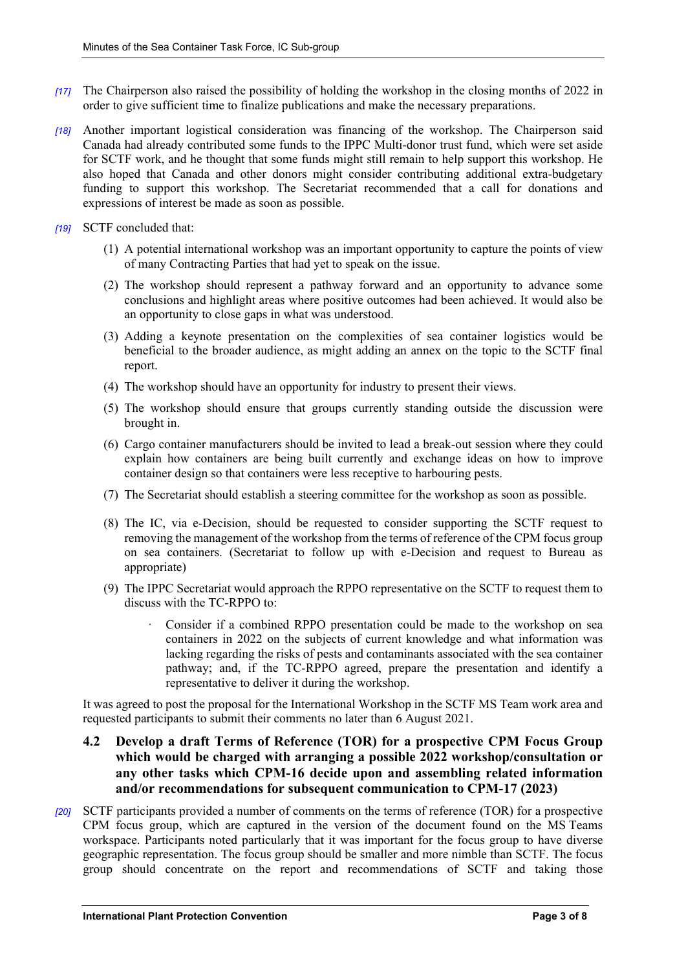- *[17]* The Chairperson also raised the possibility of holding the workshop in the closing months of 2022 in order to give sufficient time to finalize publications and make the necessary preparations.
- *[18]* Another important logistical consideration was financing of the workshop. The Chairperson said Canada had already contributed some funds to the IPPC Multi-donor trust fund, which were set aside for SCTF work, and he thought that some funds might still remain to help support this workshop. He also hoped that Canada and other donors might consider contributing additional extra-budgetary funding to support this workshop. The Secretariat recommended that a call for donations and expressions of interest be made as soon as possible.
- *[19]* SCTF concluded that:
	- (1) A potential international workshop was an important opportunity to capture the points of view of many Contracting Parties that had yet to speak on the issue.
	- (2) The workshop should represent a pathway forward and an opportunity to advance some conclusions and highlight areas where positive outcomes had been achieved. It would also be an opportunity to close gaps in what was understood.
	- (3) Adding a keynote presentation on the complexities of sea container logistics would be beneficial to the broader audience, as might adding an annex on the topic to the SCTF final report.
	- (4) The workshop should have an opportunity for industry to present their views.
	- (5) The workshop should ensure that groups currently standing outside the discussion were brought in.
	- (6) Cargo container manufacturers should be invited to lead a break-out session where they could explain how containers are being built currently and exchange ideas on how to improve container design so that containers were less receptive to harbouring pests.
	- (7) The Secretariat should establish a steering committee for the workshop as soon as possible.
	- (8) The IC, via e-Decision, should be requested to consider supporting the SCTF request to removing the management of the workshop from the terms of reference of the CPM focus group on sea containers. (Secretariat to follow up with e-Decision and request to Bureau as appropriate)
	- (9) The IPPC Secretariat would approach the RPPO representative on the SCTF to request them to discuss with the TC-RPPO to:
		- · Consider if a combined RPPO presentation could be made to the workshop on sea containers in 2022 on the subjects of current knowledge and what information was lacking regarding the risks of pests and contaminants associated with the sea container pathway; and, if the TC-RPPO agreed, prepare the presentation and identify a representative to deliver it during the workshop.

It was agreed to post the proposal for the International Workshop in the SCTF MS Team work area and requested participants to submit their comments no later than 6 August 2021.

- **4.2 Develop a draft Terms of Reference (TOR) for a prospective CPM Focus Group which would be charged with arranging a possible 2022 workshop/consultation or any other tasks which CPM-16 decide upon and assembling related information and/or recommendations for subsequent communication to CPM-17 (2023)**
- *[20]* SCTF participants provided a number of comments on the terms of reference (TOR) for a prospective CPM focus group, which are captured in the version of the document found on the MS Teams workspace. Participants noted particularly that it was important for the focus group to have diverse geographic representation. The focus group should be smaller and more nimble than SCTF. The focus group should concentrate on the report and recommendations of SCTF and taking those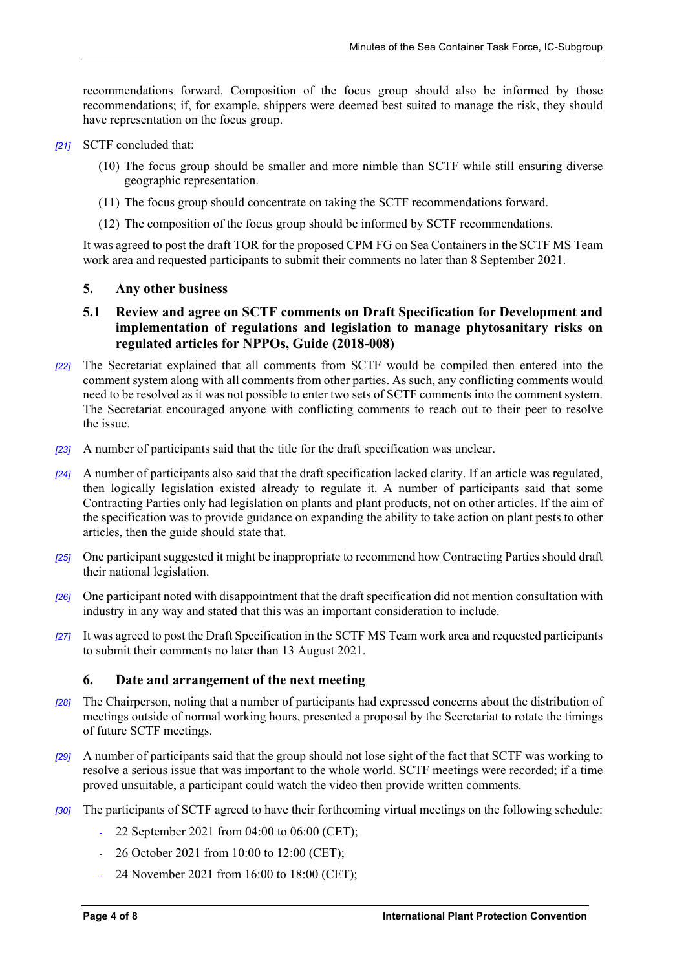recommendations forward. Composition of the focus group should also be informed by those recommendations; if, for example, shippers were deemed best suited to manage the risk, they should have representation on the focus group.

- *[21]* SCTF concluded that:
	- (10) The focus group should be smaller and more nimble than SCTF while still ensuring diverse geographic representation.
	- (11) The focus group should concentrate on taking the SCTF recommendations forward.
	- (12) The composition of the focus group should be informed by SCTF recommendations.

It was agreed to post the draft TOR for the proposed CPM FG on Sea Containers in the SCTF MS Team work area and requested participants to submit their comments no later than 8 September 2021.

#### **5. Any other business**

## **5.1 Review and agree on SCTF comments on Draft Specification for Development and implementation of regulations and legislation to manage phytosanitary risks on regulated articles for NPPOs, Guide (2018-008)**

- *[22]* The Secretariat explained that all comments from SCTF would be compiled then entered into the comment system along with all comments from other parties. As such, any conflicting comments would need to be resolved as it was not possible to enter two sets of SCTF comments into the comment system. The Secretariat encouraged anyone with conflicting comments to reach out to their peer to resolve the issue.
- *[23]* A number of participants said that the title for the draft specification was unclear.
- *[24]* A number of participants also said that the draft specification lacked clarity. If an article was regulated, then logically legislation existed already to regulate it. A number of participants said that some Contracting Parties only had legislation on plants and plant products, not on other articles. If the aim of the specification was to provide guidance on expanding the ability to take action on plant pests to other articles, then the guide should state that.
- *[25]* One participant suggested it might be inappropriate to recommend how Contracting Parties should draft their national legislation.
- *[26]* One participant noted with disappointment that the draft specification did not mention consultation with industry in any way and stated that this was an important consideration to include.
- *[27]* It was agreed to post the Draft Specification in the SCTF MS Team work area and requested participants to submit their comments no later than 13 August 2021.

### **6. Date and arrangement of the next meeting**

- *[28]* The Chairperson, noting that a number of participants had expressed concerns about the distribution of meetings outside of normal working hours, presented a proposal by the Secretariat to rotate the timings of future SCTF meetings.
- *[29]* A number of participants said that the group should not lose sight of the fact that SCTF was working to resolve a serious issue that was important to the whole world. SCTF meetings were recorded; if a time proved unsuitable, a participant could watch the video then provide written comments.
- *[30]* The participants of SCTF agreed to have their forthcoming virtual meetings on the following schedule:
	- *‐* 22 September 2021 from 04:00 to 06:00 (CET);
	- *‐* 26 October 2021 from 10:00 to 12:00 (CET);
	- *‐* 24 November 2021 from 16:00 to 18:00 (CET);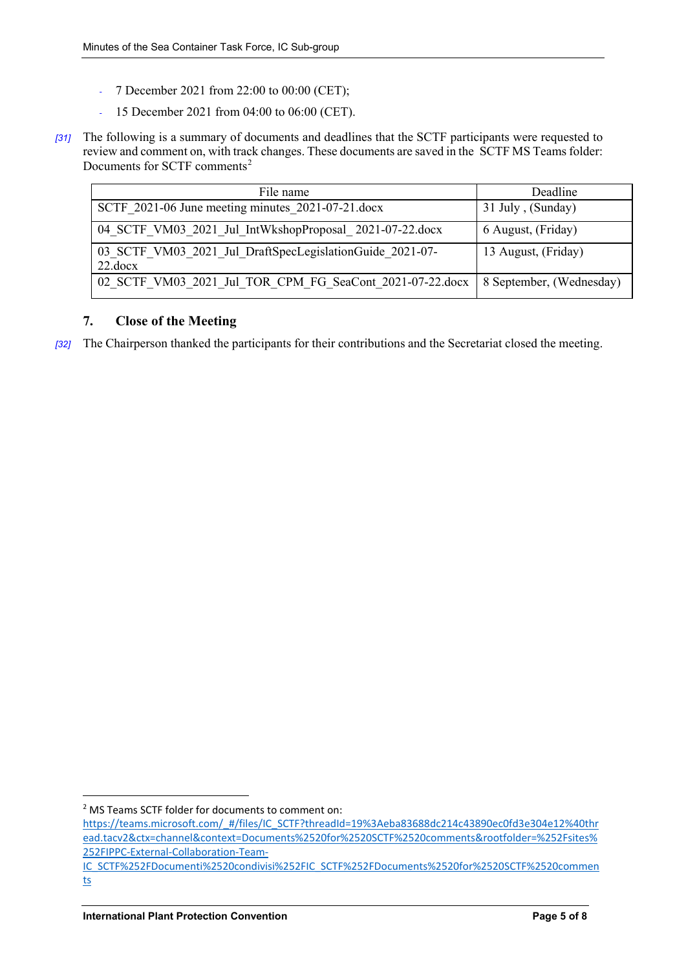- *‐* 7 December 2021 from 22:00 to 00:00 (CET);
- *‐* 15 December 2021 from 04:00 to 06:00 (CET).
- *[31]* The following is a summary of documents and deadlines that the SCTF participants were requested to review and comment on, with track changes. These documents are saved in the [SCTF MS Teamsf](https://teams.microsoft.com/_#/files/IC_SCTF?threadId=19%3Aeba83688dc214c43890ec0fd3e304e12%40thread.tacv2&ctx=channel&context=Documents%2520for%2520SCTF%2520comments&rootfolder=%252Fsites%252FIPPC-External-Collaboration-Team-IC_SCTF%252FDocumenti%2520condivisi%252FIC_SCTF%252FDocuments%2520for%2520SCTF%2520comments)older: [Documents for SCTF comments](https://teams.microsoft.com/_#/files/IC_SCTF?threadId=19%3Aeba83688dc214c43890ec0fd3e304e12%40thread.tacv2&ctx=channel&context=Documents%2520for%2520SCTF%2520comments&rootfolder=%252Fsites%252FIPPC-External-Collaboration-Team-IC_SCTF%252FDocumenti%2520condivisi%252FIC_SCTF%252FDocuments%2520for%2520SCTF%2520comments)<sup>[2](#page-4-0)</sup>

| File name                                                                           | Deadline            |  |
|-------------------------------------------------------------------------------------|---------------------|--|
| SCTF 2021-06 June meeting minutes 2021-07-21 docx                                   | 31 July, (Sunday)   |  |
| 04 SCTF VM03 2021 Jul IntWkshopProposal 2021-07-22.docx                             | 6 August, (Friday)  |  |
| 03 SCTF VM03 2021 Jul DraftSpecLegislationGuide 2021-07-<br>22.docx                 | 13 August, (Friday) |  |
| 02 SCTF VM03 2021 Jul TOR CPM FG SeaCont 2021-07-22.docx   8 September, (Wednesday) |                     |  |

## **7. Close of the Meeting**

*[32]* The Chairperson thanked the participants for their contributions and the Secretariat closed the meeting.

<span id="page-4-0"></span> <sup>2</sup> MS Teams SCTF folder for documents to comment on:

[https://teams.microsoft.com/\\_#/files/IC\\_SCTF?threadId=19%3Aeba83688dc214c43890ec0fd3e304e12%40thr](https://teams.microsoft.com/_#/files/IC_SCTF?threadId=19%3Aeba83688dc214c43890ec0fd3e304e12%40thread.tacv2&ctx=channel&context=Documents%2520for%2520SCTF%2520comments&rootfolder=%252Fsites%252FIPPC-External-Collaboration-Team-IC_SCTF%252FDocumenti%2520condivisi%252FIC_SCTF%252FDocuments%2520for%2520SCTF%2520comments) [ead.tacv2&ctx=channel&context=Documents%2520for%2520SCTF%2520comments&rootfolder=%252Fsites%](https://teams.microsoft.com/_#/files/IC_SCTF?threadId=19%3Aeba83688dc214c43890ec0fd3e304e12%40thread.tacv2&ctx=channel&context=Documents%2520for%2520SCTF%2520comments&rootfolder=%252Fsites%252FIPPC-External-Collaboration-Team-IC_SCTF%252FDocumenti%2520condivisi%252FIC_SCTF%252FDocuments%2520for%2520SCTF%2520comments) [252FIPPC-External-Collaboration-Team-](https://teams.microsoft.com/_#/files/IC_SCTF?threadId=19%3Aeba83688dc214c43890ec0fd3e304e12%40thread.tacv2&ctx=channel&context=Documents%2520for%2520SCTF%2520comments&rootfolder=%252Fsites%252FIPPC-External-Collaboration-Team-IC_SCTF%252FDocumenti%2520condivisi%252FIC_SCTF%252FDocuments%2520for%2520SCTF%2520comments)

[IC\\_SCTF%252FDocumenti%2520condivisi%252FIC\\_SCTF%252FDocuments%2520for%2520SCTF%2520commen](https://teams.microsoft.com/_#/files/IC_SCTF?threadId=19%3Aeba83688dc214c43890ec0fd3e304e12%40thread.tacv2&ctx=channel&context=Documents%2520for%2520SCTF%2520comments&rootfolder=%252Fsites%252FIPPC-External-Collaboration-Team-IC_SCTF%252FDocumenti%2520condivisi%252FIC_SCTF%252FDocuments%2520for%2520SCTF%2520comments) [ts](https://teams.microsoft.com/_#/files/IC_SCTF?threadId=19%3Aeba83688dc214c43890ec0fd3e304e12%40thread.tacv2&ctx=channel&context=Documents%2520for%2520SCTF%2520comments&rootfolder=%252Fsites%252FIPPC-External-Collaboration-Team-IC_SCTF%252FDocumenti%2520condivisi%252FIC_SCTF%252FDocuments%2520for%2520SCTF%2520comments)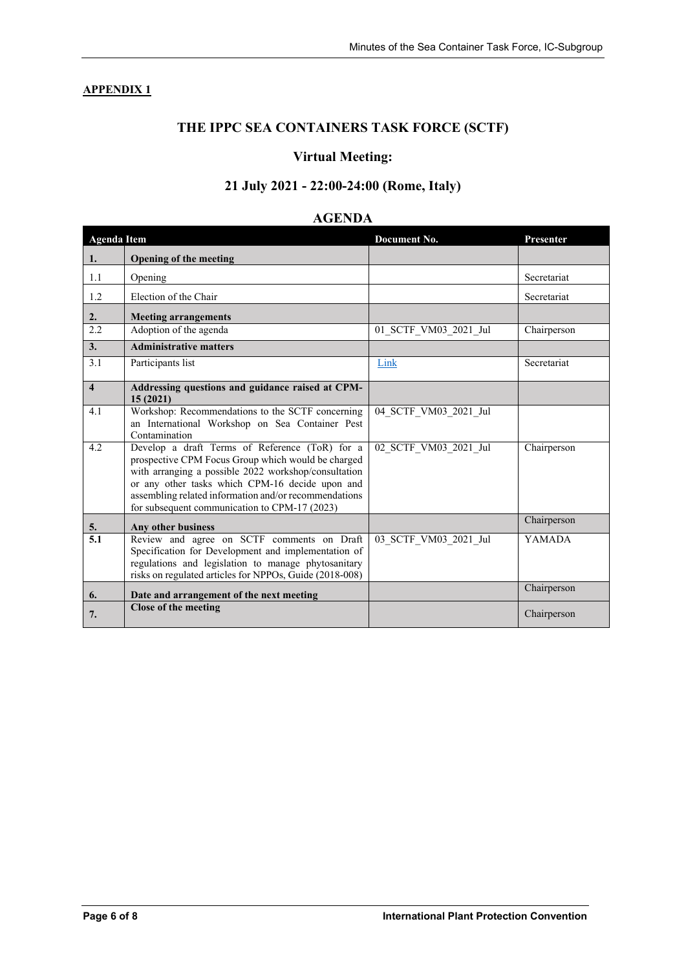## **APPENDIX 1**

# **THE IPPC SEA CONTAINERS TASK FORCE (SCTF)**

## **Virtual Meeting:**

# **21 July 2021 - 22:00-24:00 (Rome, Italy)**

## **AGENDA**

| <b>Agenda Item</b>      |                                                                                                                                                                                                                                                                                                                           | Document No.          | Presenter     |
|-------------------------|---------------------------------------------------------------------------------------------------------------------------------------------------------------------------------------------------------------------------------------------------------------------------------------------------------------------------|-----------------------|---------------|
| 1.                      | <b>Opening of the meeting</b>                                                                                                                                                                                                                                                                                             |                       |               |
| 1.1                     | Opening                                                                                                                                                                                                                                                                                                                   |                       | Secretariat   |
| 1.2                     | Election of the Chair                                                                                                                                                                                                                                                                                                     |                       | Secretariat   |
| 2.                      | <b>Meeting arrangements</b>                                                                                                                                                                                                                                                                                               |                       |               |
| 2.2                     | Adoption of the agenda                                                                                                                                                                                                                                                                                                    | 01 SCTF VM03 2021 Jul | Chairperson   |
| 3.                      | <b>Administrative matters</b>                                                                                                                                                                                                                                                                                             |                       |               |
| 3.1                     | Participants list                                                                                                                                                                                                                                                                                                         | Link                  | Secretariat   |
| $\overline{\mathbf{4}}$ | Addressing questions and guidance raised at CPM-<br>15(2021)                                                                                                                                                                                                                                                              |                       |               |
| 4.1                     | Workshop: Recommendations to the SCTF concerning<br>an International Workshop on Sea Container Pest<br>Contamination                                                                                                                                                                                                      | 04_SCTF_VM03_2021_Jul |               |
| 4.2                     | Develop a draft Terms of Reference (ToR) for a<br>prospective CPM Focus Group which would be charged<br>with arranging a possible 2022 workshop/consultation<br>or any other tasks which CPM-16 decide upon and<br>assembling related information and/or recommendations<br>for subsequent communication to CPM-17 (2023) | 02 SCTF VM03 2021 Jul | Chairperson   |
| 5.                      | Any other business                                                                                                                                                                                                                                                                                                        |                       | Chairperson   |
| $\overline{5.1}$        | Review and agree on SCTF comments on Draft<br>Specification for Development and implementation of<br>regulations and legislation to manage phytosanitary<br>risks on regulated articles for NPPOs, Guide (2018-008)                                                                                                       | 03 SCTF VM03 2021 Jul | <b>YAMADA</b> |
| 6.                      | Date and arrangement of the next meeting                                                                                                                                                                                                                                                                                  |                       | Chairperson   |
| 7.                      | Close of the meeting                                                                                                                                                                                                                                                                                                      |                       | Chairperson   |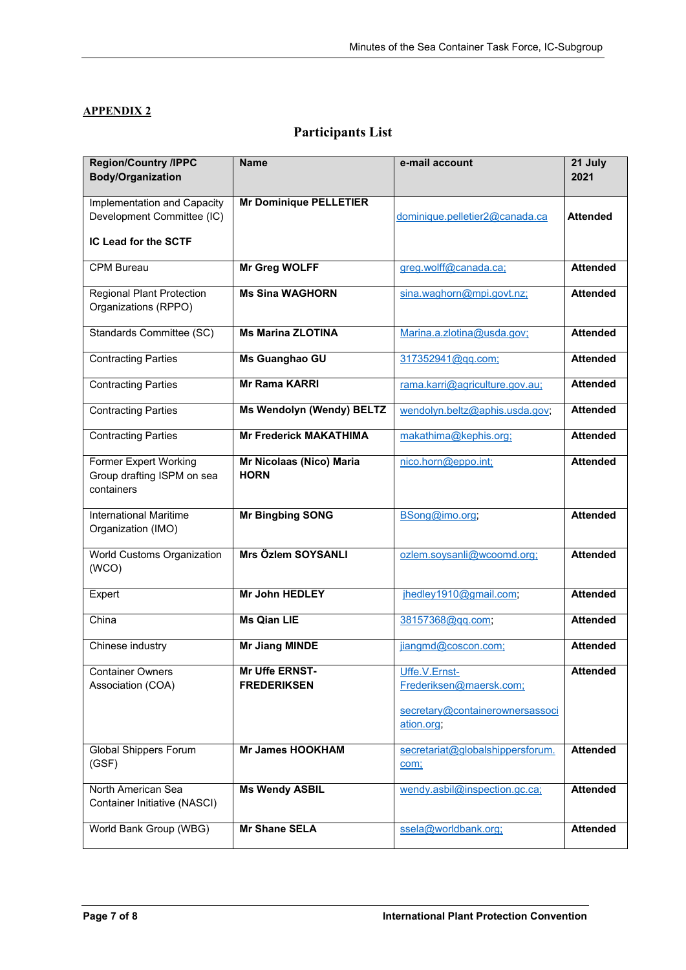## **APPENDIX 2**

# **Participants List**

| <b>Region/Country /IPPC</b><br><b>Body/Organization</b>                           | <b>Name</b>                             | e-mail account                                                                            | 21 July<br>2021 |
|-----------------------------------------------------------------------------------|-----------------------------------------|-------------------------------------------------------------------------------------------|-----------------|
| Implementation and Capacity<br>Development Committee (IC)<br>IC Lead for the SCTF | <b>Mr Dominique PELLETIER</b>           | dominique.pelletier2@canada.ca                                                            | <b>Attended</b> |
| <b>CPM Bureau</b>                                                                 | <b>Mr Greg WOLFF</b>                    | greg.wolff@canada.ca;                                                                     | <b>Attended</b> |
| <b>Regional Plant Protection</b><br>Organizations (RPPO)                          | <b>Ms Sina WAGHORN</b>                  | sina.waghorn@mpi.govt.nz;                                                                 | <b>Attended</b> |
| Standards Committee (SC)                                                          | <b>Ms Marina ZLOTINA</b>                | Marina.a.zlotina@usda.gov;                                                                | <b>Attended</b> |
| <b>Contracting Parties</b>                                                        | Ms Guanghao GU                          | 317352941@gg.com;                                                                         | <b>Attended</b> |
| <b>Contracting Parties</b>                                                        | <b>Mr Rama KARRI</b>                    | rama.karri@agriculture.gov.au;                                                            | <b>Attended</b> |
| <b>Contracting Parties</b>                                                        | Ms Wendolyn (Wendy) BELTZ               | wendolyn.beltz@aphis.usda.gov;                                                            | <b>Attended</b> |
| <b>Contracting Parties</b>                                                        | <b>Mr Frederick MAKATHIMA</b>           | makathima@kephis.org;                                                                     | <b>Attended</b> |
| <b>Former Expert Working</b><br>Group drafting ISPM on sea<br>containers          | Mr Nicolaas (Nico) Maria<br><b>HORN</b> | nico.horn@eppo.int;                                                                       | <b>Attended</b> |
| <b>International Maritime</b><br>Organization (IMO)                               | <b>Mr Bingbing SONG</b>                 | BSong@imo.org;                                                                            | <b>Attended</b> |
| World Customs Organization<br>(WCO)                                               | Mrs Özlem SOYSANLI                      | ozlem.soysanli@wcoomd.org;                                                                | <b>Attended</b> |
| Expert                                                                            | <b>Mr John HEDLEY</b>                   | jhedley1910@gmail.com;                                                                    | <b>Attended</b> |
| China                                                                             | <b>Ms Qian LIE</b>                      | 38157368@gq.com;                                                                          | <b>Attended</b> |
| Chinese industry                                                                  | <b>Mr Jiang MINDE</b>                   | jiangmd@coscon.com;                                                                       | <b>Attended</b> |
| <b>Container Owners</b><br>Association (COA)                                      | Mr Uffe ERNST-<br><b>FREDERIKSEN</b>    | Uffe.V.Ernst-<br>Frederiksen@maersk.com;<br>secretary@containerownersassoci<br>ation.org; | <b>Attended</b> |
| <b>Global Shippers Forum</b><br>(GSF)                                             | <b>Mr James HOOKHAM</b>                 | secretariat@globalshippersforum.<br>com;                                                  | <b>Attended</b> |
| North American Sea<br>Container Initiative (NASCI)                                | <b>Ms Wendy ASBIL</b>                   | wendy.asbil@inspection.gc.ca;                                                             | <b>Attended</b> |
| World Bank Group (WBG)                                                            | <b>Mr Shane SELA</b>                    | ssela@worldbank.org;                                                                      | <b>Attended</b> |